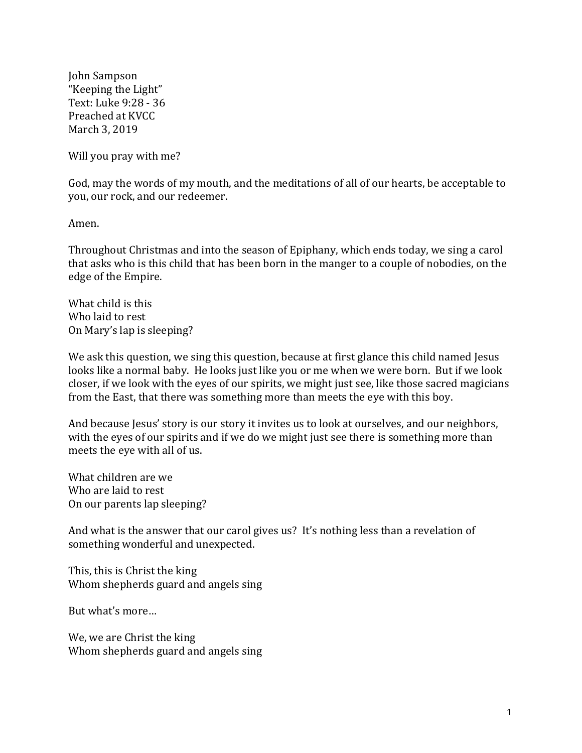John Sampson "Keeping the Light" Text: Luke 9:28 - 36 Preached at KVCC March 3, 2019

Will you pray with me?

God, may the words of my mouth, and the meditations of all of our hearts, be acceptable to you, our rock, and our redeemer.

Amen.

Throughout Christmas and into the season of Epiphany, which ends today, we sing a carol that asks who is this child that has been born in the manger to a couple of nobodies, on the edge of the Empire.

What child is this Who laid to rest On Mary's lap is sleeping?

We ask this question, we sing this question, because at first glance this child named Jesus looks like a normal baby. He looks just like you or me when we were born. But if we look closer, if we look with the eyes of our spirits, we might just see, like those sacred magicians from the East, that there was something more than meets the eye with this boy.

And because Jesus' story is our story it invites us to look at ourselves, and our neighbors, with the eyes of our spirits and if we do we might just see there is something more than meets the eye with all of us.

What children are we Who are laid to rest On our parents lap sleeping?

And what is the answer that our carol gives us? It's nothing less than a revelation of something wonderful and unexpected.

This, this is Christ the king Whom shepherds guard and angels sing

But what's more...

We, we are Christ the king Whom shepherds guard and angels sing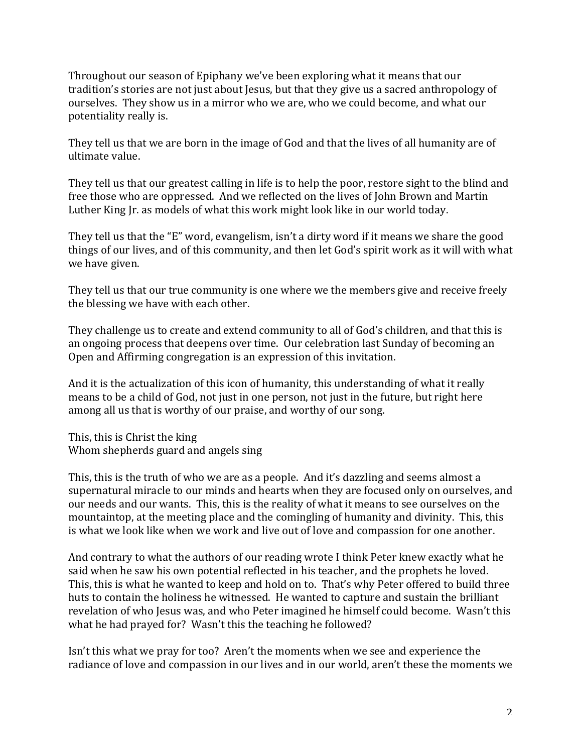Throughout our season of Epiphany we've been exploring what it means that our tradition's stories are not just about Jesus, but that they give us a sacred anthropology of ourselves. They show us in a mirror who we are, who we could become, and what our potentiality really is.

They tell us that we are born in the image of God and that the lives of all humanity are of ultimate value.

They tell us that our greatest calling in life is to help the poor, restore sight to the blind and free those who are oppressed. And we reflected on the lives of John Brown and Martin Luther King Ir. as models of what this work might look like in our world today.

They tell us that the "E" word, evangelism, isn't a dirty word if it means we share the good things of our lives, and of this community, and then let God's spirit work as it will with what we have given.

They tell us that our true community is one where we the members give and receive freely the blessing we have with each other.

They challenge us to create and extend community to all of God's children, and that this is an ongoing process that deepens over time. Our celebration last Sunday of becoming an Open and Affirming congregation is an expression of this invitation.

And it is the actualization of this icon of humanity, this understanding of what it really means to be a child of God, not just in one person, not just in the future, but right here among all us that is worthy of our praise, and worthy of our song.

This, this is Christ the king Whom shepherds guard and angels sing

This, this is the truth of who we are as a people. And it's dazzling and seems almost a supernatural miracle to our minds and hearts when they are focused only on ourselves, and our needs and our wants. This, this is the reality of what it means to see ourselves on the mountaintop, at the meeting place and the comingling of humanity and divinity. This, this is what we look like when we work and live out of love and compassion for one another.

And contrary to what the authors of our reading wrote I think Peter knew exactly what he said when he saw his own potential reflected in his teacher, and the prophets he loved. This, this is what he wanted to keep and hold on to. That's why Peter offered to build three huts to contain the holiness he witnessed. He wanted to capture and sustain the brilliant revelation of who Jesus was, and who Peter imagined he himself could become. Wasn't this what he had prayed for? Wasn't this the teaching he followed?

Isn't this what we pray for too? Aren't the moments when we see and experience the radiance of love and compassion in our lives and in our world, aren't these the moments we